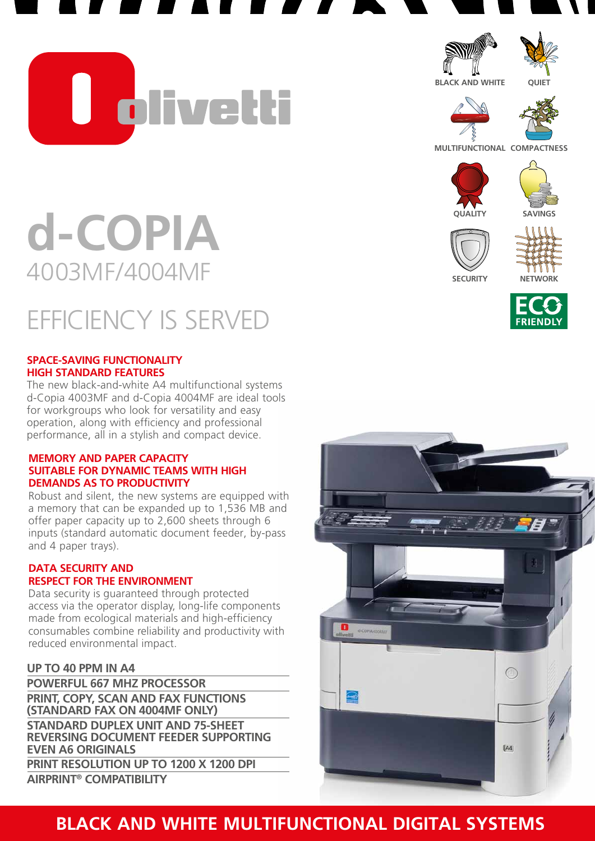U olivetti



**BLACK AND WHITE**

**QUIET**



**MULTIFUNCTIONAL COMPACTNESS**











# **d-COPIA** 4003MF/4004MF

## EFFICIENCY IS SERVED

#### **SPACE-SAVING FUNCTIONALITY HIGH STANDARD FEATURES**

The new black-and-white A4 multifunctional systems d-Copia 4003MF and d-Copia 4004MF are ideal tools for workgroups who look for versatility and easy operation, along with efficiency and professional performance, all in a stylish and compact device.

#### **MEMORY AND PAPER CAPACITY SUITABLE FOR DYNAMIC TEAMS WITH HIGH DEMANDS AS TO PRODUCTIVITY**

Robust and silent, the new systems are equipped with a memory that can be expanded up to 1,536 MB and offer paper capacity up to 2,600 sheets through 6 inputs (standard automatic document feeder, by-pass and 4 paper trays).

#### **DATA SECURITY AND RESPECT FOR THE ENVIRONMENT**

Data security is guaranteed through protected access via the operator display, long-life components made from ecological materials and high-efficiency consumables combine reliability and productivity with reduced environmental impact.

#### **UP TO 40 PPM IN A4**

**POWERFUL 667 MHz PROCESSOR PRINt, COPY, SCAN AND FAX FUNCTIONS (standard fax on 4004MF ONLY) STANDARD DUPLEX UNIT AND 75-SHEET REVERSING DOCUMENT FEEDER SUPPORTING even A6 ORIGINALS PRINT RESOLUTION UP TO 1200 X 1200 DPI AIRPRINT® COMPATIBILITY** 



### **BLACK AND WHITE MULTIFUNCTIONAL DIGITAL SYSTEMS**